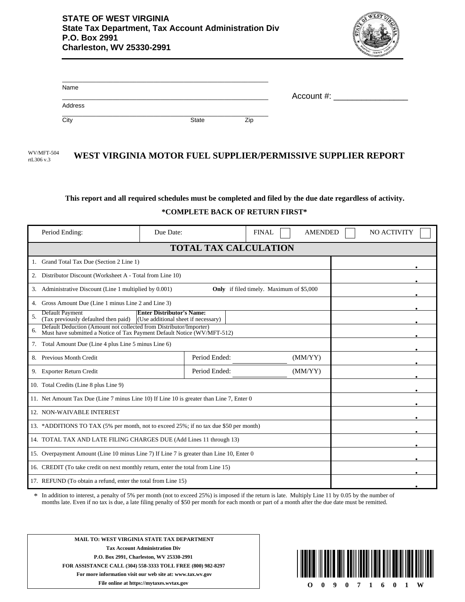

| Name    |       |     | Account #: |
|---------|-------|-----|------------|
| Address |       |     |            |
| City    | State | Zip |            |

WV/MFT-504 WEST VIRGINIA MOTOR FUEL SUPPLIER/PERMISSIVE SUPPLIER REPORT rtL306 v.3

## **This report and all required schedules must be completed and filed by the due date regardless of activity. \*COMPLETE BACK OF RETURN FIRST\***

| Period Ending:                                                                                                                                      | Due Date:     | <b>AMENDED</b><br><b>FINAL</b> | NO ACTIVITY |  |  |  |
|-----------------------------------------------------------------------------------------------------------------------------------------------------|---------------|--------------------------------|-------------|--|--|--|
| <b>TOTAL TAX CALCULATION</b>                                                                                                                        |               |                                |             |  |  |  |
| Grand Total Tax Due (Section 2 Line 1)                                                                                                              |               |                                |             |  |  |  |
| Distributor Discount (Worksheet A - Total from Line 10)<br>2.                                                                                       |               |                                |             |  |  |  |
| Administrative Discount (Line 1 multiplied by 0.001)<br>3.                                                                                          |               |                                |             |  |  |  |
| Gross Amount Due (Line 1 minus Line 2 and Line 3)<br>4.                                                                                             |               |                                |             |  |  |  |
| <b>Default Payment</b><br><b>Enter Distributor's Name:</b><br>5.<br>(Tax previously defaulted then paid)<br>(Use additional sheet if necessary)     |               |                                |             |  |  |  |
| Default Deduction (Amount not collected from Distributor/Importer)<br>6.<br>Must have submitted a Notice of Tax Payment Default Notice (WV/MFT-512) |               |                                |             |  |  |  |
| 7. Total Amount Due (Line 4 plus Line 5 minus Line 6)                                                                                               |               |                                |             |  |  |  |
| 8. Previous Month Credit                                                                                                                            | Period Ended: | (MM/YY)                        |             |  |  |  |
| 9. Exporter Return Credit                                                                                                                           | Period Ended: | (MM/YY)                        |             |  |  |  |
| 10. Total Credits (Line 8 plus Line 9)                                                                                                              |               |                                |             |  |  |  |
| 11. Net Amount Tax Due (Line 7 minus Line 10) If Line 10 is greater than Line 7, Enter 0                                                            |               |                                |             |  |  |  |
| 12. NON-WAIVABLE INTEREST                                                                                                                           |               |                                |             |  |  |  |
| 13. *ADDITIONS TO TAX (5% per month, not to exceed 25%; if no tax due \$50 per month)                                                               |               |                                |             |  |  |  |
| 14. TOTAL TAX AND LATE FILING CHARGES DUE (Add Lines 11 through 13)                                                                                 |               |                                |             |  |  |  |
| 15. Overpayment Amount (Line 10 minus Line 7) If Line 7 is greater than Line 10, Enter 0                                                            |               |                                |             |  |  |  |
| 16. CREDIT (To take credit on next monthly return, enter the total from Line 15)                                                                    |               |                                |             |  |  |  |
| 17. REFUND (To obtain a refund, enter the total from Line 15)                                                                                       |               |                                |             |  |  |  |

In addition to interest, a penalty of 5% per month (not to exceed 25%) is imposed if the return is late. Multiply Line 11 by 0.05 by the number of months late. Even if no tax is due, a late filing penalty of \$50 per month for each month or part of a month after the due date must be remitted. \*